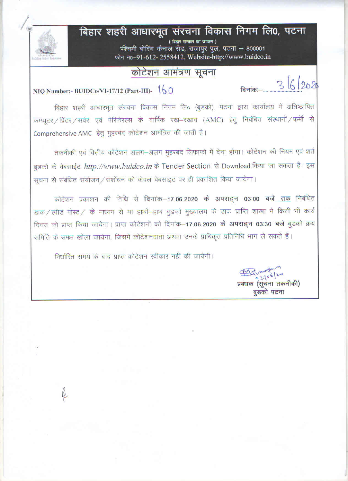# बिहार शहरी आधारभूत संरचना विकास निगम लि0, पटना

(बिहार सरकार का उपक्रम) प्श्चिमी बोरिंग कैनाल रोड, राजापुर पुल, पटना - 800001 फोन न0-91-612-2558412, Website-http://www.buidco.in

### कोटेशन आमंत्रण सूचना

## NIQ Number:- BUIDCo/VI-17/12 (Part-III)- $\sqrt{60}$

बिहार शहरी आधारभूत संरचना विकास निगम लि० (बुडको), पटना द्वारा कार्यालय में अधिष्ठापित कम्प्यूटर / प्रिंटर / सर्वर एवं पेरिफेरल्स के वार्षिक रख-रखाव (AMC) हेतु निबंधित संस्थानों / फर्मी से Comprehensive AMC हेतु मुहरबंद कोटेशन आमंत्रित की जाती है।

तकनीकी एवं वित्तीय कोटेशन अलग-अलग मुहरबंद लिफाफो में देना होगा। कोटेशन की नियम एवं शर्त बुडको के वेबसाईट http://www.buidco.in के Tender Section से Download किया जा सकता है। इस सूचना से संबंधित संयोजन / संशोधन को केवल वेबसाइट पर ही प्रकाशित किया जायेगा।

कोटेशन प्रकाशन की तिथि से दिनांक-17.06.2020 के अपराहन 03:00 बजे तक निबंधित डाक / स्पीड पोस्ट / के माध्यम से या हाथों-हाथ बुडको मुख्यालय के डाक प्राप्ति शाखा में किसी भी कार्य दिवस को प्राप्त किया जायेगा। प्राप्त कोटेशनों को दिनांक-17.06.2020 के अपराहन 03:30 बजे बुड़को क्रय समिति के समक्ष खोला जायेगा, जिसमें कोटेशनदाता अथवा उनके प्राधिकृत प्रतिनिधि भाग ले सकते हैं।

निर्धारित समय के बाद प्राप्त कोटेशन स्वीकार नहीं की जायेगी।

 $3106/20$ 

प्रबंधक (सूचना तकनीकी) बुडको पटना

 $36202$ 

दिनांकः—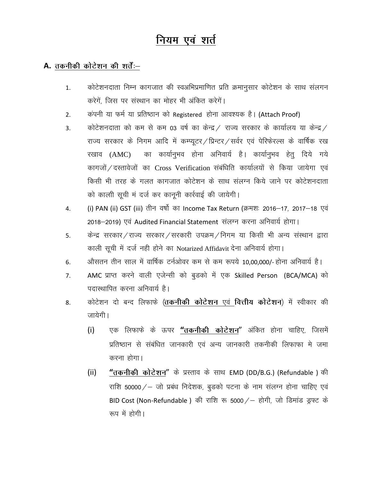## नियम एवं शर्त

#### A. तकनीकी कोटेशन की शर्तें:-

- कोटेशनदाता निम्न कागजात की स्वअभिप्रमाणित प्रति क्रमानुसार कोटेशन के साथ संलगन  $1.$ करेगें. जिस पर संस्थान का मोहर भी अंकित करेगें।
- कंपनी या फर्म या प्रतिष्ठान को Registered होना आवश्यक है। (Attach Proof)  $2.$
- कोटेशनदाता को कम से कम 03 वर्ष का केन्द्र / राज्य सरकार के कार्यालय या केन्द्र /  $3<sub>1</sub>$ राज्य सरकार के निगम आदि में कम्प्यूटर/प्रिन्टर/सर्वर एवं पेरिफेरल्स के वार्षिक रख का कार्यानुभव होना अनिवार्य है। कार्यानुभव हेतु दिये गये रखाव (AMC) कागजों / दस्तावेजों का Cross Verification संबंधिति कार्यालयों से किया जायेगा एवं किसी भी तरह के गलत कागजात कोटेशन के साथ संलग्न किये जाने पर कोटेशनदाता को काली सूची मं दर्ज कर कानूनी कार्रवाई की जायेगी।
- (i) PAN (ii) GST (iii) तीन वर्षो का Income Tax Return (क्रमशः 2016–17, 2017–18 एवं 4. 2018-2019) एवं Audited Financial Statement संलग्न करना अनिवार्य होगा।
- केन्द्र सरकार/राज्य सरकार/सरकारी उपक्रम/निगम या किसी भी अन्य संस्थान द्वारा 5. काली सूची में दर्ज नही होने का Notarized Affidavit देना अनिवार्य होगा।
- औसतन तीन साल में वार्षिक टर्नओवर कम से कम रूपये 10,00,000/- होना अनिवार्य है। 6.
- AMC प्राप्त करने वाली एजेन्सी को बुडको में एक Skilled Person (BCA/MCA) को  $7.$ पदास्थापित करना अनिवार्य है।
- कोटेशन दो बन्द लिफाफे (तकनीकी कोटेशन एवं वित्तीय कोटेशन) में स्वीकार की 8. जायेगी।
	- एक लिफाफे के ऊपर "तकनीकी कोटेशन" अंकित होना चाहिए, जिसमें  $(i)$ प्रतिष्ठान से संबंधित जानकारी एवं अन्य जानकारी तकनीकी लिफाफा मे जमा करना होगा।
	- "तकनीकी कोटेशन" के प्रस्ताव के साथ EMD (DD/B.G.) (Refundable) की  $(ii)$ राशि 50000/ – जो प्रबंध निदेशक, बुडको पटना के नाम संलग्न होना चाहिए एवं BID Cost (Non-Refundable) की राशि रू 5000 / – होगी, जो डिमांड ड्रफ्ट के रूप में होगी।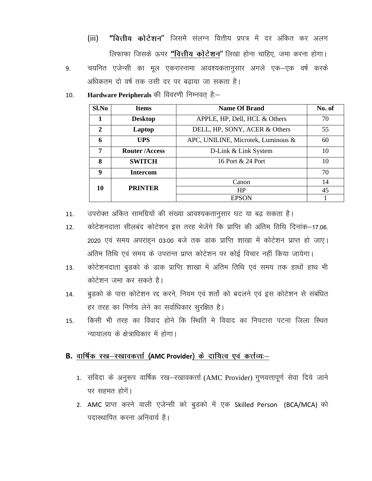- "वित्तीय कोटेशन" जिसमें संलग्न वित्तीय प्रपत्र में दर अंकित कर अलग  $(iii)$ लिफाफा जिसके ऊपर "वित्तीय कोटेशन" लिखा होना चाहिए, जमा करना होगा।
- चयनित एजेन्सी का मूल एकरारनामा आवश्यकतानुसार अगले एक–एक वर्ष करके 9. अधिकतम दो वर्ष तक उसी दर पर बढाया जा सकता है।
- Hardware Peripherals की विवरणी निम्नवत् है:-10.

| Sl.No        | <b>Items</b>                | <b>Name Of Brand</b>               | No. of |
|--------------|-----------------------------|------------------------------------|--------|
| 1            | <b>Desktop</b>              | APPLE, HP, Dell, HCL & Others      | 70     |
| $\mathbf{2}$ | Laptop                      | DELL, HP, SONY, ACER & Others      |        |
| 6            | UPS                         | APC, UNILINE, Microtek, Luminous & |        |
| 7            | <b>Router/Access</b>        | D-Link & Link System               | 10     |
| 8            | <b>SWITCH</b>               | 16 Port & 24 Port                  | 10     |
| 9            | <b>Intercom</b>             |                                    | 70     |
|              |                             | Canon                              | 14     |
| 10           | <b>PRINTER</b><br><b>HP</b> |                                    | 45     |
|              |                             | <b>EPSON</b>                       |        |

उपरोक्त अंकित सामग्रियों की संख्या आवश्यकतानुसार घट या बढ़ सकता है। 11.

- कोटेशनदाता सीलबंद कोटेशन इस तरह भेजेंगे कि प्राप्ति की अंतिम तिथि दिनांक–17.06. 12. 2020 एवं समय अपराहन 03:00 बजे तक डाक प्राप्ति शाखा में कोटेशन प्राप्त हो जाए। अंतिम तिथि एवं समय के उपरान्त प्राप्त कोटेशन पर कोई विचार नहीं किया जायेगा।
- कोटेशनदाता बुडको के डाक प्राप्ति शाखा में अंतिम तिथि एवं समय तक हाथों हाथ भी 13. कोटेशन जमा कर सकते है।
- बुडको के पास कोटेशन रद्द करने, नियम एवं शर्तो को बदलने एवं इस कोटेशन से संबंधित 14. हर तरह का निर्णय लेने का सर्वाधिकार सूरक्षित है।
- किसी भी तरह का विवाद होने कि स्थिति मे विवाद का निपटारा पटना जिला स्थित 15. न्यायालय के क्षेत्राधिकार में होगा।

#### B. वार्षिक रख-रखावकर्त्ता (AMC Provider) के दायित्व एवं कर्त्तव्यः–

- 1. संविदा के अनुरूप वार्षिक रख-रखावकर्त्ता (AMC Provider) गुणवत्तापूर्ण सेवा दिये जाने पर सहमत होगें।
- 2. AMC प्राप्त करने वाली एजेन्सी को बुडको में एक Skilled Person (BCA/MCA) को पदास्थापित करना अनिवार्य है।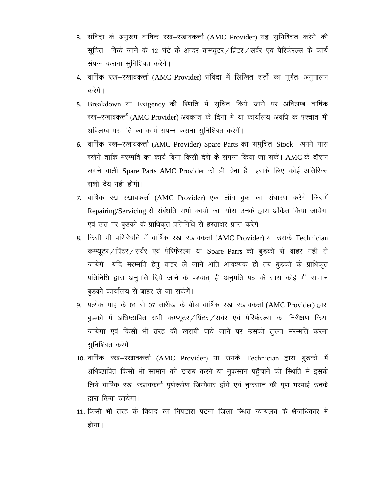- 3. संविदा के अनुरूप वार्षिक रख–रखावकर्त्ता (AMC Provider) यह सुनिश्चित करेगे की सूचित किये जाने के 12 घंटे के अन्दर कम्प्यूटर/प्रिंटर/सर्वर एवं पेरिफेरल्स के कार्य संपन्न कराना सुनिश्चित करेगें।
- 4. वार्षिक रख–रखावकर्त्ता (AMC Provider) संविदा में लिखित शर्तों का पूर्णतः अनुपालन करेगें ।
- 5. Breakdown या Exigency की स्थिति में सूचित किये जाने पर अविलम्ब वार्षिक रख-रखावकर्त्ता (AMC Provider) अवकाश के दिनों में या कार्यालय अवधि के पश्चात भी अविलम्ब मरम्मति का कार्य संपन्न कराना सुनिश्चित करेगें।
- 6. वार्षिक रख–रखावकर्त्ता (AMC Provider) Spare Parts का समुचित Stock अपने पास रखेगे ताकि मरम्मति का कार्य बिना किसी देरी के संपन्न किया जा सकें। AMC के दौरान लगने वाली Spare Parts AMC Provider को ही देना है। इसके लिए कोई अतिरिक्त राशी देय नही होगी।
- 7. वार्षिक रख-रखावकर्त्ता (AMC Provider) एक लॉग-बुक का संधारण करेगे जिसमें Repairing/Servicing से संबंधति सभी कार्यो का व्योरा उनके द्वारा अंकित किया जायेगा एवं उस पर बुडको के प्राधिकृत प्रतिनिधि से हस्ताक्षर प्राप्त करेगें।
- 8. किसी भी परिस्थिति में वार्षिक रख–रखावकर्त्ता (AMC Provider) या उसके Technician कम्प्यूटर/प्रिंटर/सर्वर एवं पेरिफेरल्स या Spare Parrs को बुडको से बाहर नहीं ले जायेगे। यदि मरम्मति हेतू बाहर ले जाने अति आवश्यक हो तब बूडको के प्राधिकृत प्रतिनिधि द्वारा अनुमति दिये जाने के पश्चात् ही अनुमति पत्र के साथ कोई भी सामान बुडको कार्यालय से बाहर ले जा सकेगें।
- 9. प्रत्येक माह के 01 से 07 तारीख के बीच वार्षिक रख—रखावकर्त्ता (AMC Provider) द्वारा बुडको में अधिष्ठापित सभी कम्प्यूटर/प्रिंटर/सर्वर एवं पेरिफेरल्स का निरीक्षण किया जायेगा एवं किसी भी तरह की खराबी पाये जाने पर उसकी तुरन्त मरम्मति करना सुनिश्चित करेगें।
- 10. वार्षिक रख–रखावकर्त्ता (AMC Provider) या उनके Technician द्वारा बुडको में अधिष्ठापित किसी भी सामान को खराब करने या नुकसान पहुँचाने की स्थिति में इसके लिये वार्षिक रख-रखावकर्ता पूर्णरूपेण जिम्मेवार होंगे एवं नुकसान की पूर्ण भरपाई उनके द्वारा किया जायेगा।
- 11. किसी भी तरह के विवाद का निपटारा पटना जिला स्थित न्यायलय के क्षेत्राधिकार मे होगा।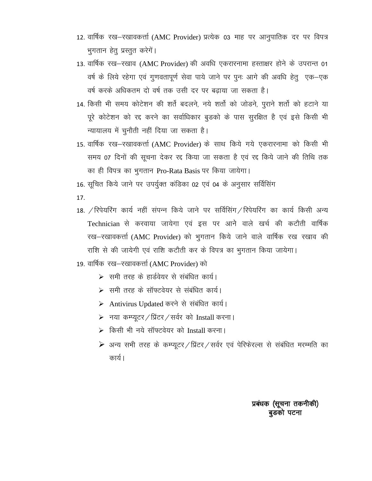- 12. वार्षिक रख-रखावकर्त्ता (AMC Provider) प्रत्येक 03 माह पर आनुपातिक दर पर विपत्र भुगतान हेतू प्रस्तुत करेगें।
- 13. वार्षिक रख–रखाव (AMC Provider) की अवधि एकरारनामा हस्ताक्षर होने के उपरान्त 01 वर्ष के लिये रहेगा एवं गुणवतापूर्ण सेवा पाये जाने पर पुनः आगे की अवधि हेतु एक–एक वर्ष करके अधिकतम दो वर्ष तक उसी दर पर बढाया जा सकता है।
- 14. किसी भी समय कोटेशन की शर्ते बदलने, नये शर्तो को जोडने, पुराने शर्तो को हटाने या पूरे कोटेशन को रद्द करने का सर्वाधिकार बुडको के पास सुरक्षित है एवं इसे किसी भी न्यायालय में चुनौती नहीं दिया जा सकता है।
- 15. वार्षिक रख–रखावकर्त्ता (AMC Provider) के साथ किये गये एकरारनामा को किसी भी समय 07 दिनों की सूचना देकर रद्द किया जा सकता है एवं रद्द किये जाने की तिथि तक का ही विपत्र का भुगतान Pro-Rata Basis पर किया जायेगा।
- 16. सूचित किये जाने पर उपर्युक्त कंडिका 02 एवं 04 के अनुसार सर्विसिंग
- 17.
- 18. / रिपेयरिंग कार्य नहीं संपन्न किये जाने पर सर्विसिंग / रिपेयरिंग का कार्य किसी अन्य Technician से करवाया जायेगा एवं इस पर आने वाले खर्च की कटौती वार्षिक रख-रखावकर्त्ता (AMC Provider) को भुगतान किये जाने वाले वार्षिक रख रखाव की राशि से की जायेगी एवं राशि कटौती कर के विपत्र का भुगतान किया जायेगा।
- 19. वार्षिक रख–रखावकर्त्ता (AMC Provider) को
	- ≻ समी तरह के हार्डवेयर से संबंधित कार्य।
	- ▶ समी तरह के सॉफ्टवेयर से संबंधित कार्य।
	- ▶ Antivirus Updated करने से संबंधित कार्य।
	- > नया कम्प्यूटर / प्रिंटर / सर्वर को Install करना।
	- > किसी भी नये सॉफ्टवेयर को Install करना।
	- ▶ अन्य सभी तरह के कम्प्यूटर / प्रिंटर / सर्वर एवं पेरिफेरल्स से संबंधित मरम्मति का कार्य।

प्रबंधक (सूचना तकनीकी) बुडको पटना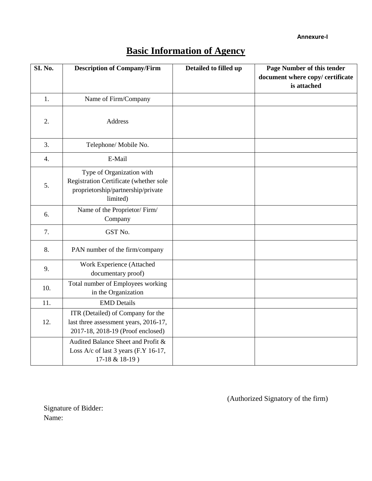**Annexure-I**

|  |  |  |  |  | <b>Basic Information of Agency</b> |
|--|--|--|--|--|------------------------------------|
|--|--|--|--|--|------------------------------------|

| SI. No. | <b>Description of Company/Firm</b>                                                                                    | Detailed to filled up | Page Number of this tender<br>document where copy/ certificate<br>is attached |
|---------|-----------------------------------------------------------------------------------------------------------------------|-----------------------|-------------------------------------------------------------------------------|
| 1.      | Name of Firm/Company                                                                                                  |                       |                                                                               |
| 2.      | Address                                                                                                               |                       |                                                                               |
| 3.      | Telephone/ Mobile No.                                                                                                 |                       |                                                                               |
| 4.      | E-Mail                                                                                                                |                       |                                                                               |
| 5.      | Type of Organization with<br>Registration Certificate (whether sole<br>proprietorship/partnership/private<br>limited) |                       |                                                                               |
| 6.      | Name of the Proprietor/Firm/<br>Company                                                                               |                       |                                                                               |
| 7.      | GST No.                                                                                                               |                       |                                                                               |
| 8.      | PAN number of the firm/company                                                                                        |                       |                                                                               |
| 9.      | Work Experience (Attached<br>documentary proof)                                                                       |                       |                                                                               |
| 10.     | Total number of Employees working<br>in the Organization                                                              |                       |                                                                               |
| 11.     | <b>EMD</b> Details                                                                                                    |                       |                                                                               |
| 12.     | ITR (Detailed) of Company for the<br>last three assessment years, 2016-17,<br>2017-18, 2018-19 (Proof enclosed)       |                       |                                                                               |
|         | Audited Balance Sheet and Profit &<br>Loss A/c of last 3 years (F.Y 16-17,<br>17-18 & 18-19)                          |                       |                                                                               |

(Authorized Signatory of the firm)

Signature of Bidder: Name: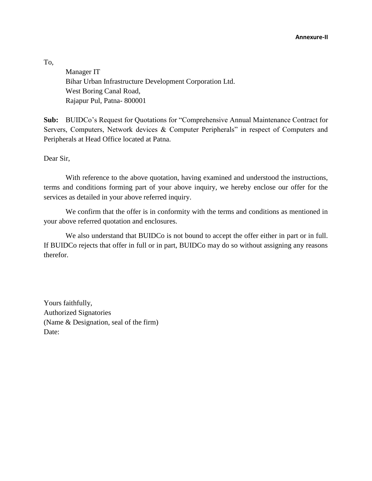To,

Manager IT Bihar Urban Infrastructure Development Corporation Ltd. West Boring Canal Road, Rajapur Pul, Patna- 800001

**Sub:** BUIDCo's Request for Quotations for "Comprehensive Annual Maintenance Contract for Servers, Computers, Network devices & Computer Peripherals" in respect of Computers and Peripherals at Head Office located at Patna.

Dear Sir,

With reference to the above quotation, having examined and understood the instructions, terms and conditions forming part of your above inquiry, we hereby enclose our offer for the services as detailed in your above referred inquiry.

We confirm that the offer is in conformity with the terms and conditions as mentioned in your above referred quotation and enclosures.

We also understand that BUIDCo is not bound to accept the offer either in part or in full. If BUIDCo rejects that offer in full or in part, BUIDCo may do so without assigning any reasons therefor.

Yours faithfully, Authorized Signatories (Name & Designation, seal of the firm) Date: